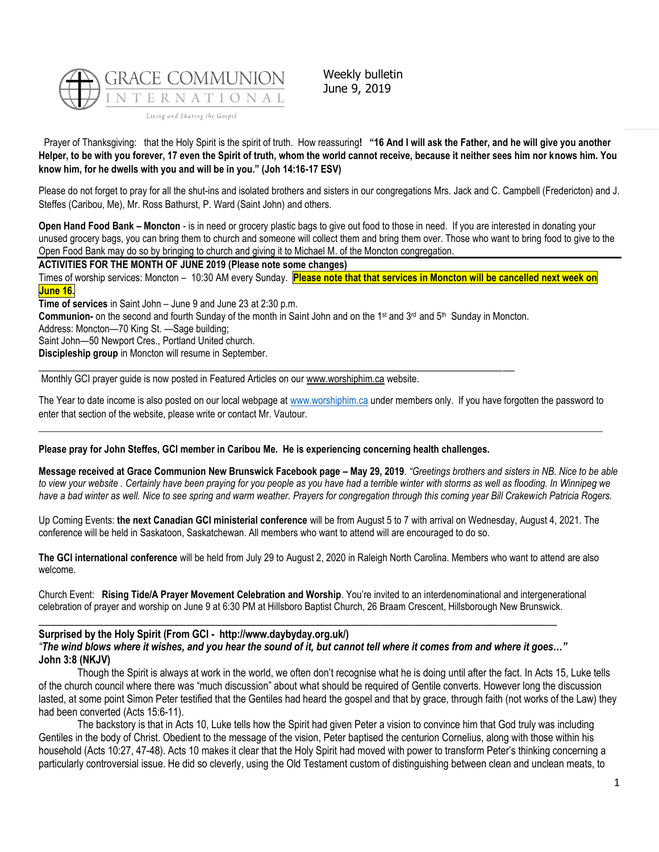

Weekly bulletin June 9, 2019

Prayer of Thanksgiving: that the Holy Spirit is the spirit of truth. How reassuring**! "16 And I will ask the Father, and he will give you another Helper, to be with you forever, 17 even the Spirit of truth, whom the world cannot receive, because it neither sees him nor knows him. You know him, for he dwells with you and will be in you." (Joh 14:16-17 ESV)**

Please do not forget to pray for all the shut-ins and isolated brothers and sisters in our congregations Mrs. Jack and C. Campbell (Fredericton) and J. Steffes (Caribou, Me), Mr. Ross Bathurst, P. Ward (Saint John) and others.

**Open Hand Food Bank – Moncton** - is in need or grocery plastic bags to give out food to those in need. If you are interested in donating your unused grocery bags, you can bring them to church and someone will collect them and bring them over. Those who want to bring food to give to the Open Food Bank may do so by bringing to church and giving it to Michael M. of the Moncton congregation.

**ACTIVITIES FOR THE MONTH OF JUNE 2019 (Please note some changes)**

Times of worship services: Moncton – 10:30 AM every Sunday. **Please note that that services in Moncton will be cancelled next week on June 16.**

**Time of services** in Saint John – June 9 and June 23 at 2:30 p.m.

**Communion-** on the second and fourth Sunday of the month in Saint John and on the 1<sup>st</sup> and 3<sup>rd</sup> and 5<sup>th</sup> Sunday in Moncton.

 $\_$  ,  $\_$  ,  $\_$  ,  $\_$  ,  $\_$  ,  $\_$  ,  $\_$  ,  $\_$  ,  $\_$  ,  $\_$  ,  $\_$  ,  $\_$  ,  $\_$  ,  $\_$  ,  $\_$  ,  $\_$  ,  $\_$  ,  $\_$  ,  $\_$  ,  $\_$  ,  $\_$  ,  $\_$  ,  $\_$  ,  $\_$  ,  $\_$  ,  $\_$  ,  $\_$  ,  $\_$  ,  $\_$  ,  $\_$  ,  $\_$  ,  $\_$  ,  $\_$  ,  $\_$  ,  $\_$  ,  $\_$  ,  $\_$  ,

Address: Moncton—70 King St. —Sage building;

Saint John—50 Newport Cres., Portland United church.

**Discipleship group** in Moncton will resume in September.

Monthly GCI prayer guide is now posted in Featured Articles on our [www.worshiphim.ca](http://www.worshiphim.ca/) website.

The Year to date income is also posted on our local webpage at [www.worshiphim.ca](http://www.worshiphim.ca/) under members only. If you have forgotten the password to enter that section of the website, please write or contact Mr. Vautour.  $\_$  , and the state of the state of the state of the state of the state of the state of the state of the state of the state of the state of the state of the state of the state of the state of the state of the state of the

#### **Please pray for John Steffes, GCI member in Caribou Me. He is experiencing concerning health challenges.**

**Message received at Grace Communion New Brunswick Facebook page – May 29, 2019**. *"Greetings brothers and sisters in NB. Nice to be able*  to view your website. Certainly have been praying for you people as you have had a terrible winter with storms as well as flooding. In Winnipeg we *have a bad winter as well. Nice to see spring and warm weather. Prayers for congregation through this coming year Bill Crakewich Patricia Rogers.*

Up Coming Events: **the next Canadian GCI ministerial conference** will be from August 5 to 7 with arrival on Wednesday, August 4, 2021. The conference will be held in Saskatoon, Saskatchewan. All members who want to attend will are encouraged to do so.

**The GCI international conference** will be held from July 29 to August 2, 2020 in Raleigh North Carolina. Members who want to attend are also welcome.

Church Event: **Rising Tide/A Prayer Movement Celebration and Worship**. You're invited to an interdenominational and intergenerational celebration of prayer and worship on June 9 at 6:30 PM at Hillsboro Baptist Church, 26 Braam Crescent, Hillsborough New Brunswick.

# **Surprised by the Holy Spirit (From GCI - http://www.daybyday.org.uk/)** *"The wind blows where it wishes, and you hear the sound of it, but cannot tell where it comes from and where it goes…"* **John 3:8 (NKJV)**

\_\_\_\_\_\_\_\_\_\_\_\_\_\_\_\_\_\_\_\_\_\_\_\_\_\_\_\_\_\_\_\_\_\_\_\_\_\_\_\_\_\_\_\_\_\_\_\_\_\_\_\_\_\_\_\_\_\_\_\_\_\_\_\_\_\_\_\_\_\_\_\_\_\_\_\_\_\_\_\_\_\_\_\_\_\_\_\_

Though the Spirit is always at work in the world, we often don't recognise what he is doing until after the fact. In Acts 15, Luke tells of the church council where there was "much discussion" about what should be required of Gentile converts. However long the discussion lasted, at some point Simon Peter testified that the Gentiles had heard the gospel and that by grace, through faith (not works of the Law) they had been converted (Acts 15:6-11).

The backstory is that in Acts 10, Luke tells how the Spirit had given Peter a vision to convince him that God truly was including Gentiles in the body of Christ. Obedient to the message of the vision, Peter baptised the centurion Cornelius, along with those within his household (Acts 10:27, 47-48). Acts 10 makes it clear that the Holy Spirit had moved with power to transform Peter's thinking concerning a particularly controversial issue. He did so cleverly, using the Old Testament custom of distinguishing between clean and unclean meats, to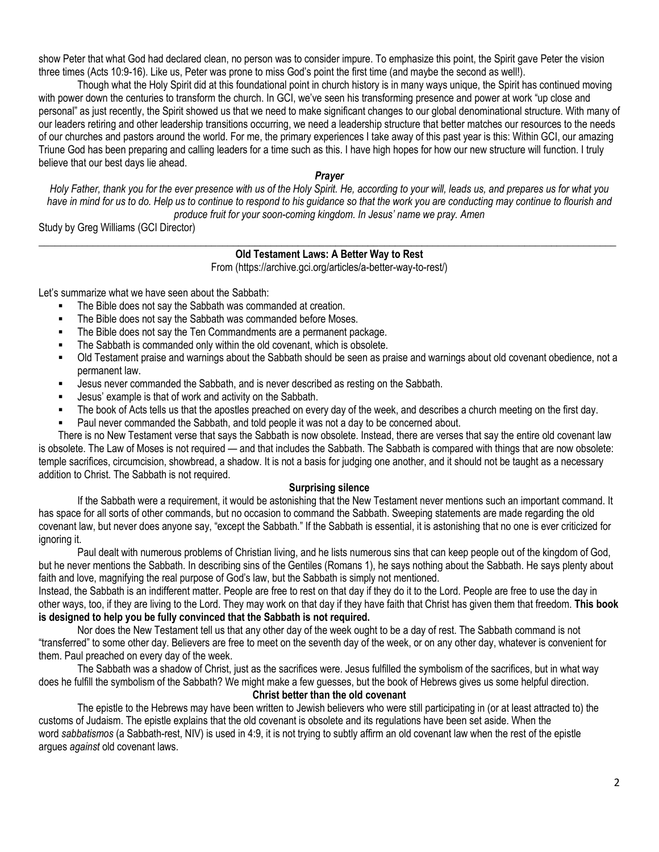show Peter that what God had declared clean, no person was to consider impure. To emphasize this point, the Spirit gave Peter the vision three times (Acts 10:9-16). Like us, Peter was prone to miss God's point the first time (and maybe the second as well!).

Though what the Holy Spirit did at this foundational point in church history is in many ways unique, the Spirit has continued moving with power down the centuries to transform the church. In GCI, we've seen his transforming presence and power at work "up close and personal" as just recently, the Spirit showed us that we need to make significant changes to our global denominational structure. With many of our leaders retiring and other leadership transitions occurring, we need a leadership structure that better matches our resources to the needs of our churches and pastors around the world. For me, the primary experiences I take away of this past year is this: Within GCI, our amazing Triune God has been preparing and calling leaders for a time such as this. I have high hopes for how our new structure will function. I truly believe that our best days lie ahead.

# *Prayer*

*Holy Father, thank you for the ever presence with us of the Holy Spirit. He, according to your will, leads us, and prepares us for what you have in mind for us to do. Help us to continue to respond to his guidance so that the work you are conducting may continue to flourish and produce fruit for your soon-coming kingdom. In Jesus' name we pray. Amen*

Study by Greg Williams (GCI Director)

# **\_\_\_\_\_\_\_\_\_\_\_\_\_\_\_\_\_\_\_\_\_\_\_\_\_\_\_\_\_\_\_\_\_\_\_\_\_\_\_\_\_\_\_\_\_\_\_\_\_\_\_\_\_\_\_\_\_\_\_\_\_\_\_\_\_\_\_\_\_\_\_\_\_\_\_\_\_\_\_\_\_\_\_\_\_\_\_\_\_\_\_\_\_\_\_\_\_\_\_\_\_\_\_\_\_\_\_ Old Testament Laws: A Better Way to Rest**

From (https://archive.gci.org/articles/a-better-way-to-rest/)

Let's summarize what we have seen about the Sabbath:

- The Bible does not say the Sabbath was commanded at creation.
- The Bible does not say the Sabbath was commanded before Moses.
- The Bible does not say the Ten Commandments are a permanent package.
- The Sabbath is commanded only within the old covenant, which is obsolete.
- Old Testament praise and warnings about the Sabbath should be seen as praise and warnings about old covenant obedience, not a permanent law.
- Jesus never commanded the Sabbath, and is never described as resting on the Sabbath.
- Jesus' example is that of work and activity on the Sabbath.
- The book of Acts tells us that the apostles preached on every day of the week, and describes a church meeting on the first day.
- Paul never commanded the Sabbath, and told people it was not a day to be concerned about.

There is no New Testament verse that says the Sabbath is now obsolete. Instead, there are verses that say the entire old covenant law is obsolete. The Law of Moses is not required — and that includes the Sabbath. The Sabbath is compared with things that are now obsolete: temple sacrifices, circumcision, showbread, a shadow. It is not a basis for judging one another, and it should not be taught as a necessary addition to Christ. The Sabbath is not required.

#### **Surprising silence**

If the Sabbath were a requirement, it would be astonishing that the New Testament never mentions such an important command. It has space for all sorts of other commands, but no occasion to command the Sabbath. Sweeping statements are made regarding the old covenant law, but never does anyone say, "except the Sabbath." If the Sabbath is essential, it is astonishing that no one is ever criticized for ignoring it.

Paul dealt with numerous problems of Christian living, and he lists numerous sins that can keep people out of the kingdom of God, but he never mentions the Sabbath. In describing sins of the Gentiles (Romans 1), he says nothing about the Sabbath. He says plenty about faith and love, magnifying the real purpose of God's law, but the Sabbath is simply not mentioned.

Instead, the Sabbath is an indifferent matter. People are free to rest on that day if they do it to the Lord. People are free to use the day in other ways, too, if they are living to the Lord. They may work on that day if they have faith that Christ has given them that freedom. **This book is designed to help you be fully convinced that the Sabbath is not required.**

Nor does the New Testament tell us that any other day of the week ought to be a day of rest. The Sabbath command is not "transferred" to some other day. Believers are free to meet on the seventh day of the week, or on any other day, whatever is convenient for them. Paul preached on every day of the week.

The Sabbath was a shadow of Christ, just as the sacrifices were. Jesus fulfilled the symbolism of the sacrifices, but in what way does he fulfill the symbolism of the Sabbath? We might make a few guesses, but the book of Hebrews gives us some helpful direction.

**Christ better than the old covenant**

The epistle to the Hebrews may have been written to Jewish believers who were still participating in (or at least attracted to) the customs of Judaism. The epistle explains that the old covenant is obsolete and its regulations have been set aside. When the word *sabbatismos* (a Sabbath-rest, NIV) is used in 4:9, it is not trying to subtly affirm an old covenant law when the rest of the epistle argues *against* old covenant laws.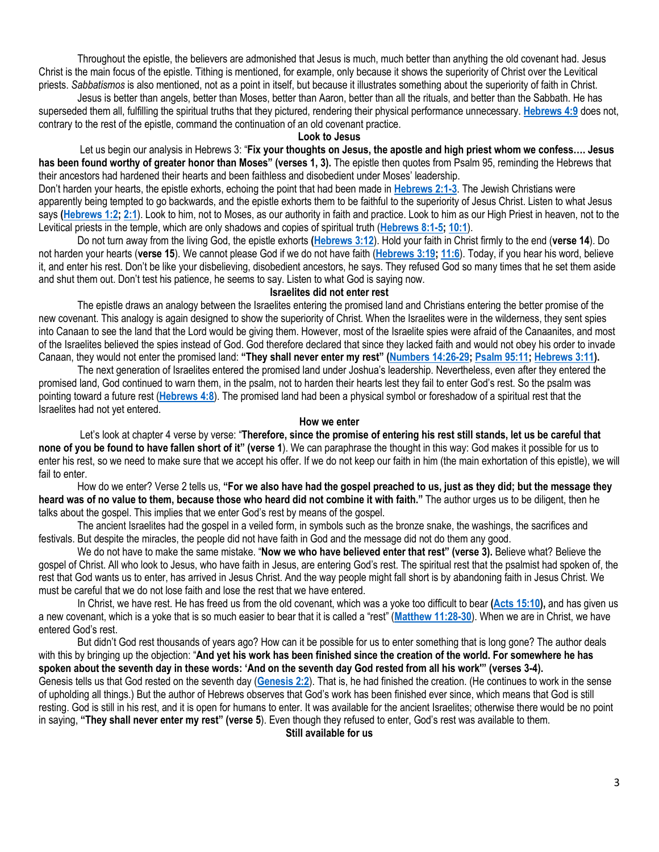Throughout the epistle, the believers are admonished that Jesus is much, much better than anything the old covenant had. Jesus Christ is the main focus of the epistle. Tithing is mentioned, for example, only because it shows the superiority of Christ over the Levitical priests. *Sabbatismos* is also mentioned, not as a point in itself, but because it illustrates something about the superiority of faith in Christ.

Jesus is better than angels, better than Moses, better than Aaron, better than all the rituals, and better than the Sabbath. He has superseded them all, fulfilling the spiritual truths that they pictured, rendering their physical performance unnecessary. **[Hebrews 4:9](https://biblia.com/bible/niv/Heb%204.9)** does not, contrary to the rest of the epistle, command the continuation of an old covenant practice.

#### **Look to Jesus**

Let us begin our analysis in Hebrews 3: "**Fix your thoughts on Jesus, the apostle and high priest whom we confess…. Jesus has been found worthy of greater honor than Moses" (verses 1, 3).** The epistle then quotes from Psalm 95, reminding the Hebrews that their ancestors had hardened their hearts and been faithless and disobedient under Moses' leadership.

Don't harden your hearts, the epistle exhorts, echoing the point that had been made in **[Hebrews 2:1-3](https://biblia.com/bible/niv/Heb%202.1-3)**. The Jewish Christians were apparently being tempted to go backwards, and the epistle exhorts them to be faithful to the superiority of Jesus Christ. Listen to what Jesus says **[\(Hebrews 1:2;](https://biblia.com/bible/niv/Heb%201.2) [2:1](https://biblia.com/bible/niv/Hebrews%202.1)**). Look to him, not to Moses, as our authority in faith and practice. Look to him as our High Priest in heaven, not to the Levitical priests in the temple, which are only shadows and copies of spiritual truth (**[Hebrews 8:1-5;](https://biblia.com/bible/niv/Heb%208.1-5) [10:1](https://biblia.com/bible/niv/Hebrews%2010.1)**).

Do not turn away from the living God, the epistle exhorts **[\(Hebrews 3:12](https://biblia.com/bible/niv/Heb%203.12)**). Hold your faith in Christ firmly to the end (**verse 14**). Do not harden your hearts (**verse 15**). We cannot please God if we do not have faith (**[Hebrews 3:19;](https://biblia.com/bible/niv/Heb%203.19) [11:6](https://biblia.com/bible/niv/Hebrews%2011.6)**). Today, if you hear his word, believe it, and enter his rest. Don't be like your disbelieving, disobedient ancestors, he says. They refused God so many times that he set them aside and shut them out. Don't test his patience, he seems to say. Listen to what God is saying now.

#### **Israelites did not enter rest**

The epistle draws an analogy between the Israelites entering the promised land and Christians entering the better promise of the new covenant. This analogy is again designed to show the superiority of Christ. When the Israelites were in the wilderness, they sent spies into Canaan to see the land that the Lord would be giving them. However, most of the Israelite spies were afraid of the Canaanites, and most of the Israelites believed the spies instead of God. God therefore declared that since they lacked faith and would not obey his order to invade Canaan, they would not enter the promised land: **"They shall never enter my rest" ([Numbers 14:26-29;](https://biblia.com/bible/niv/Num%2014.26-29) [Psalm 95:11;](https://biblia.com/bible/niv/Ps%2095.11) [Hebrews 3:11\)](https://biblia.com/bible/niv/Heb%203.11).**

The next generation of Israelites entered the promised land under Joshua's leadership. Nevertheless, even after they entered the promised land, God continued to warn them, in the psalm, not to harden their hearts lest they fail to enter God's rest. So the psalm was pointing toward a future rest (**[Hebrews 4:8](https://biblia.com/bible/niv/Heb%204.8)**). The promised land had been a physical symbol or foreshadow of a spiritual rest that the Israelites had not yet entered.

### **How we enter**

Let's look at chapter 4 verse by verse: "**Therefore, since the promise of entering his rest still stands, let us be careful that none of you be found to have fallen short of it" (verse 1**). We can paraphrase the thought in this way: God makes it possible for us to enter his rest, so we need to make sure that we accept his offer. If we do not keep our faith in him (the main exhortation of this epistle), we will fail to enter.

How do we enter? Verse 2 tells us, **"For we also have had the gospel preached to us, just as they did; but the message they heard was of no value to them, because those who heard did not combine it with faith."** The author urges us to be diligent, then he talks about the gospel. This implies that we enter God's rest by means of the gospel.

The ancient Israelites had the gospel in a veiled form, in symbols such as the bronze snake, the washings, the sacrifices and festivals. But despite the miracles, the people did not have faith in God and the message did not do them any good.

We do not have to make the same mistake. "**Now we who have believed enter that rest" (verse 3).** Believe what? Believe the gospel of Christ. All who look to Jesus, who have faith in Jesus, are entering God's rest. The spiritual rest that the psalmist had spoken of, the rest that God wants us to enter, has arrived in Jesus Christ. And the way people might fall short is by abandoning faith in Jesus Christ. We must be careful that we do not lose faith and lose the rest that we have entered.

In Christ, we have rest. He has freed us from the old covenant, which was a yoke too difficult to bear **[\(Acts 15:10\)](https://biblia.com/bible/niv/Acts%2015.10),** and has given us a new covenant, which is a yoke that is so much easier to bear that it is called a "rest" (**[Matthew 11:28-30](https://biblia.com/bible/niv/Matt%2011.28-30)**). When we are in Christ, we have entered God's rest.

But didn't God rest thousands of years ago? How can it be possible for us to enter something that is long gone? The author deals with this by bringing up the objection: "**And yet his work has been finished since the creation of the world. For somewhere he has spoken about the seventh day in these words: 'And on the seventh day God rested from all his work'" (verses 3-4).** Genesis tells us that God rested on the seventh day (**[Genesis 2:2](https://biblia.com/bible/niv/Gen%202.2)**). That is, he had finished the creation. (He continues to work in the sense of upholding all things.) But the author of Hebrews observes that God's work has been finished ever since, which means that God is still

resting. God is still in his rest, and it is open for humans to enter. It was available for the ancient Israelites; otherwise there would be no point in saying, **"They shall never enter my rest" (verse 5**). Even though they refused to enter, God's rest was available to them.

**Still available for us**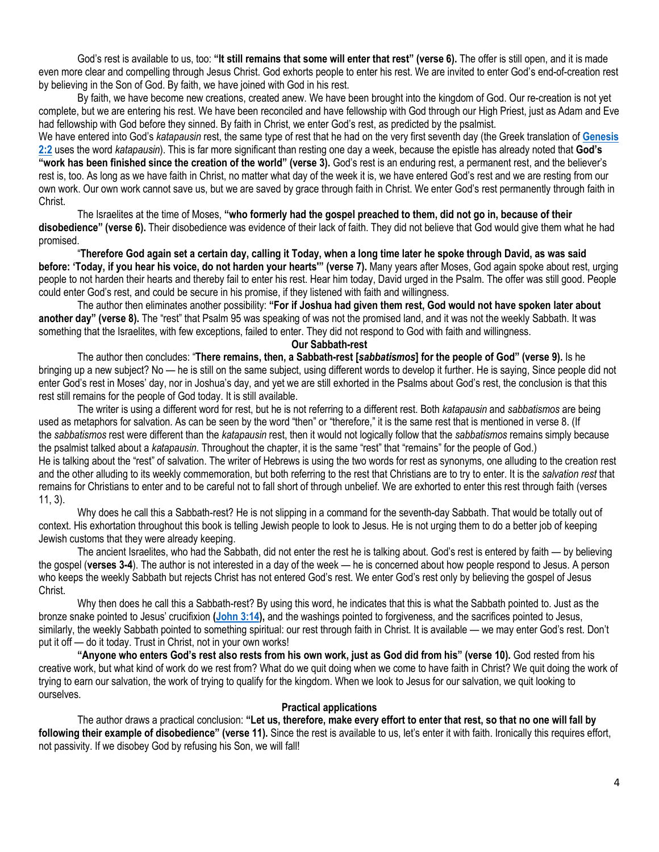God's rest is available to us, too: **"It still remains that some will enter that rest" (verse 6).** The offer is still open, and it is made even more clear and compelling through Jesus Christ. God exhorts people to enter his rest. We are invited to enter God's end-of-creation rest by believing in the Son of God. By faith, we have joined with God in his rest.

By faith, we have become new creations, created anew. We have been brought into the kingdom of God. Our re-creation is not yet complete, but we are entering his rest. We have been reconciled and have fellowship with God through our High Priest, just as Adam and Eve had fellowship with God before they sinned. By faith in Christ, we enter God's rest, as predicted by the psalmist.

We have entered into God's *katapausin* rest, the same type of rest that he had on the very first seventh day (the Greek translation of **[Genesis](https://biblia.com/bible/niv/Gen%202.2)  [2:2](https://biblia.com/bible/niv/Gen%202.2)** uses the word *katapausin*). This is far more significant than resting one day a week, because the epistle has already noted that **God's "work has been finished since the creation of the world" (verse 3).** God's rest is an enduring rest, a permanent rest, and the believer's rest is, too. As long as we have faith in Christ, no matter what day of the week it is, we have entered God's rest and we are resting from our own work. Our own work cannot save us, but we are saved by grace through faith in Christ. We enter God's rest permanently through faith in Christ.

The Israelites at the time of Moses, **"who formerly had the gospel preached to them, did not go in, because of their disobedience" (verse 6).** Their disobedience was evidence of their lack of faith. They did not believe that God would give them what he had promised.

"**Therefore God again set a certain day, calling it Today, when a long time later he spoke through David, as was said before: 'Today, if you hear his voice, do not harden your hearts'" (verse 7).** Many years after Moses, God again spoke about rest, urging people to not harden their hearts and thereby fail to enter his rest. Hear him today, David urged in the Psalm. The offer was still good. People could enter God's rest, and could be secure in his promise, if they listened with faith and willingness.

The author then eliminates another possibility: **"For if Joshua had given them rest, God would not have spoken later about another day" (verse 8).** The "rest" that Psalm 95 was speaking of was not the promised land, and it was not the weekly Sabbath. It was something that the Israelites, with few exceptions, failed to enter. They did not respond to God with faith and willingness.

**Our Sabbath-rest**

The author then concludes: "**There remains, then, a Sabbath-rest [***sabbatismos***] for the people of God" (verse 9).** Is he bringing up a new subject? No — he is still on the same subject, using different words to develop it further. He is saying, Since people did not enter God's rest in Moses' day, nor in Joshua's day, and yet we are still exhorted in the Psalms about God's rest, the conclusion is that this rest still remains for the people of God today. It is still available.

The writer is using a different word for rest, but he is not referring to a different rest. Both *katapausin* and *sabbatismos* are being used as metaphors for salvation. As can be seen by the word "then" or "therefore," it is the same rest that is mentioned in verse 8. (If the *sabbatismos* rest were different than the *katapausin* rest, then it would not logically follow that the *sabbatismos* remains simply because the psalmist talked about a *katapausin.* Throughout the chapter, it is the same "rest" that "remains" for the people of God.) He is talking about the "rest" of salvation. The writer of Hebrews is using the two words for rest as synonyms, one alluding to the creation rest and the other alluding to its weekly commemoration, but both referring to the rest that Christians are to try to enter. It is the *salvation rest* that remains for Christians to enter and to be careful not to fall short of through unbelief. We are exhorted to enter this rest through faith (verses 11, 3).

Why does he call this a Sabbath-rest? He is not slipping in a command for the seventh-day Sabbath. That would be totally out of context. His exhortation throughout this book is telling Jewish people to look to Jesus. He is not urging them to do a better job of keeping Jewish customs that they were already keeping.

The ancient Israelites, who had the Sabbath, did not enter the rest he is talking about. God's rest is entered by faith — by believing the gospel (**verses 3-4**). The author is not interested in a day of the week — he is concerned about how people respond to Jesus. A person who keeps the weekly Sabbath but rejects Christ has not entered God's rest. We enter God's rest only by believing the gospel of Jesus Christ.

Why then does he call this a Sabbath-rest? By using this word, he indicates that this is what the Sabbath pointed to. Just as the bronze snake pointed to Jesus' crucifixion **[\(John 3:14\)](https://biblia.com/bible/niv/John%203.14),** and the washings pointed to forgiveness, and the sacrifices pointed to Jesus, similarly, the weekly Sabbath pointed to something spiritual: our rest through faith in Christ. It is available — we may enter God's rest. Don't put it off — do it today. Trust in Christ, not in your own works!

**"Anyone who enters God's rest also rests from his own work, just as God did from his" (verse 10).** God rested from his creative work, but what kind of work do we rest from? What do we quit doing when we come to have faith in Christ? We quit doing the work of trying to earn our salvation, the work of trying to qualify for the kingdom. When we look to Jesus for our salvation, we quit looking to ourselves.

#### **Practical applications**

The author draws a practical conclusion: **"Let us, therefore, make every effort to enter that rest, so that no one will fall by following their example of disobedience" (verse 11).** Since the rest is available to us, let's enter it with faith. Ironically this requires effort, not passivity. If we disobey God by refusing his Son, we will fall!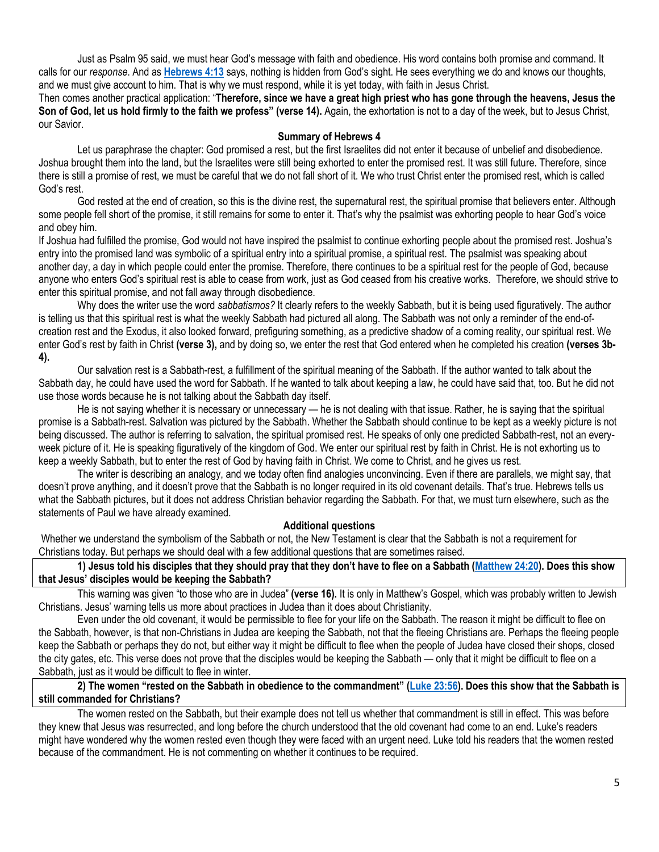Just as Psalm 95 said, we must hear God's message with faith and obedience. His word contains both promise and command. It calls for our *response*. And as **[Hebrews 4:13](https://biblia.com/bible/niv/Heb%204.13)** says, nothing is hidden from God's sight. He sees everything we do and knows our thoughts, and we must give account to him. That is why we must respond, while it is yet today, with faith in Jesus Christ.

Then comes another practical application: "**Therefore, since we have a great high priest who has gone through the heavens, Jesus the Son of God, let us hold firmly to the faith we profess" (verse 14).** Again, the exhortation is not to a day of the week, but to Jesus Christ, our Savior.

## **Summary of Hebrews 4**

Let us paraphrase the chapter: God promised a rest, but the first Israelites did not enter it because of unbelief and disobedience. Joshua brought them into the land, but the Israelites were still being exhorted to enter the promised rest. It was still future. Therefore, since there is still a promise of rest, we must be careful that we do not fall short of it. We who trust Christ enter the promised rest, which is called God's rest.

God rested at the end of creation, so this is the divine rest, the supernatural rest, the spiritual promise that believers enter. Although some people fell short of the promise, it still remains for some to enter it. That's why the psalmist was exhorting people to hear God's voice and obey him.

If Joshua had fulfilled the promise, God would not have inspired the psalmist to continue exhorting people about the promised rest. Joshua's entry into the promised land was symbolic of a spiritual entry into a spiritual promise, a spiritual rest. The psalmist was speaking about another day, a day in which people could enter the promise. Therefore, there continues to be a spiritual rest for the people of God, because anyone who enters God's spiritual rest is able to cease from work, just as God ceased from his creative works. Therefore, we should strive to enter this spiritual promise, and not fall away through disobedience.

Why does the writer use the word *sabbatismos?* It clearly refers to the weekly Sabbath, but it is being used figuratively. The author is telling us that this spiritual rest is what the weekly Sabbath had pictured all along. The Sabbath was not only a reminder of the end-ofcreation rest and the Exodus, it also looked forward, prefiguring something, as a predictive shadow of a coming reality, our spiritual rest. We enter God's rest by faith in Christ **(verse 3),** and by doing so, we enter the rest that God entered when he completed his creation **(verses 3b-4).**

Our salvation rest is a Sabbath-rest, a fulfillment of the spiritual meaning of the Sabbath. If the author wanted to talk about the Sabbath day, he could have used the word for Sabbath. If he wanted to talk about keeping a law, he could have said that, too. But he did not use those words because he is not talking about the Sabbath day itself.

He is not saying whether it is necessary or unnecessary — he is not dealing with that issue. Rather, he is saying that the spiritual promise is a Sabbath-rest. Salvation was pictured by the Sabbath. Whether the Sabbath should continue to be kept as a weekly picture is not being discussed. The author is referring to salvation, the spiritual promised rest. He speaks of only one predicted Sabbath-rest, not an everyweek picture of it. He is speaking figuratively of the kingdom of God. We enter our spiritual rest by faith in Christ. He is not exhorting us to keep a weekly Sabbath, but to enter the rest of God by having faith in Christ. We come to Christ, and he gives us rest.

The writer is describing an analogy, and we today often find analogies unconvincing. Even if there are parallels, we might say, that doesn't prove anything, and it doesn't prove that the Sabbath is no longer required in its old covenant details. That's true. Hebrews tells us what the Sabbath pictures, but it does not address Christian behavior regarding the Sabbath. For that, we must turn elsewhere, such as the statements of Paul we have already examined.

#### **Additional questions**

Whether we understand the symbolism of the Sabbath or not, the New Testament is clear that the Sabbath is not a requirement for Christians today. But perhaps we should deal with a few additional questions that are sometimes raised.

**1) Jesus told his disciples that they should pray that they don't have to flee on a Sabbath ([Matthew 24:20\)](https://biblia.com/bible/niv/Matt%2024.20). Does this show that Jesus' disciples would be keeping the Sabbath?**

This warning was given "to those who are in Judea" **(verse 16).** It is only in Matthew's Gospel, which was probably written to Jewish Christians. Jesus' warning tells us more about practices in Judea than it does about Christianity.

Even under the old covenant, it would be permissible to flee for your life on the Sabbath. The reason it might be difficult to flee on the Sabbath, however, is that non-Christians in Judea are keeping the Sabbath, not that the fleeing Christians are. Perhaps the fleeing people keep the Sabbath or perhaps they do not, but either way it might be difficult to flee when the people of Judea have closed their shops, closed the city gates, etc. This verse does not prove that the disciples would be keeping the Sabbath — only that it might be difficult to flee on a Sabbath, just as it would be difficult to flee in winter.

# **2) The women "rested on the Sabbath in obedience to the commandment" ([Luke 23:56\)](https://biblia.com/bible/niv/Luke%2023.56). Does this show that the Sabbath is still commanded for Christians?**

The women rested on the Sabbath, but their example does not tell us whether that commandment is still in effect. This was before they knew that Jesus was resurrected, and long before the church understood that the old covenant had come to an end. Luke's readers might have wondered why the women rested even though they were faced with an urgent need. Luke told his readers that the women rested because of the commandment. He is not commenting on whether it continues to be required.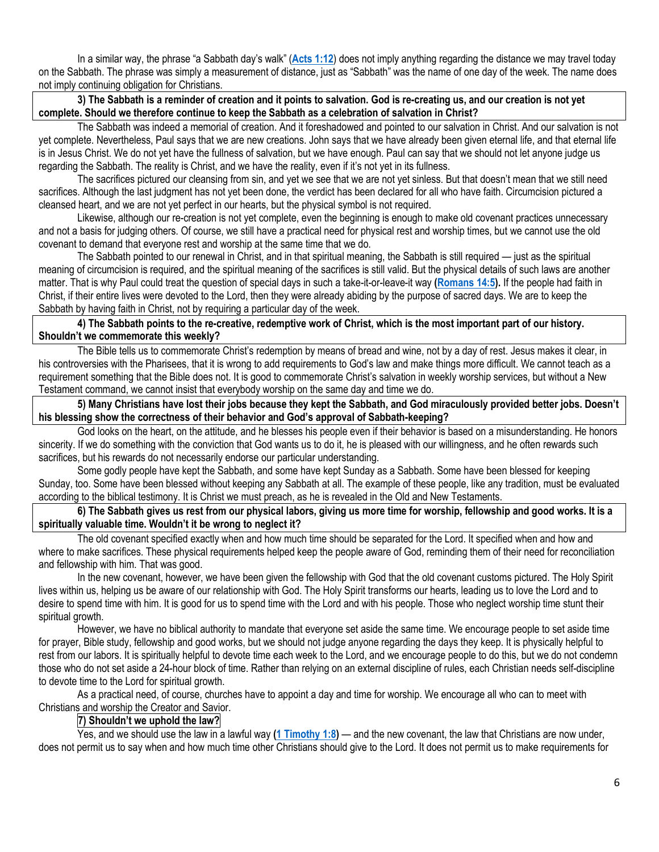In a similar way, the phrase "a Sabbath day's walk" (**[Acts 1:12](https://biblia.com/bible/niv/Acts%201.12)**) does not imply anything regarding the distance we may travel today on the Sabbath. The phrase was simply a measurement of distance, just as "Sabbath" was the name of one day of the week. The name does not imply continuing obligation for Christians.

# **3) The Sabbath is a reminder of creation and it points to salvation. God is re-creating us, and our creation is not yet complete. Should we therefore continue to keep the Sabbath as a celebration of salvation in Christ?**

The Sabbath was indeed a memorial of creation. And it foreshadowed and pointed to our salvation in Christ. And our salvation is not yet complete. Nevertheless, Paul says that we are new creations. John says that we have already been given eternal life, and that eternal life is in Jesus Christ. We do not yet have the fullness of salvation, but we have enough. Paul can say that we should not let anyone judge us regarding the Sabbath. The reality is Christ, and we have the reality, even if it's not yet in its fullness.

The sacrifices pictured our cleansing from sin, and yet we see that we are not yet sinless. But that doesn't mean that we still need sacrifices. Although the last judgment has not yet been done, the verdict has been declared for all who have faith. Circumcision pictured a cleansed heart, and we are not yet perfect in our hearts, but the physical symbol is not required.

Likewise, although our re-creation is not yet complete, even the beginning is enough to make old covenant practices unnecessary and not a basis for judging others. Of course, we still have a practical need for physical rest and worship times, but we cannot use the old covenant to demand that everyone rest and worship at the same time that we do.

The Sabbath pointed to our renewal in Christ, and in that spiritual meaning, the Sabbath is still required — just as the spiritual meaning of circumcision is required, and the spiritual meaning of the sacrifices is still valid. But the physical details of such laws are another matter. That is why Paul could treat the question of special days in such a take-it-or-leave-it way **[\(Romans 14:5\)](https://biblia.com/bible/niv/Rom%2014.5).** If the people had faith in Christ, if their entire lives were devoted to the Lord, then they were already abiding by the purpose of sacred days. We are to keep the Sabbath by having faith in Christ, not by requiring a particular day of the week.

# **4) The Sabbath points to the re-creative, redemptive work of Christ, which is the most important part of our history. Shouldn't we commemorate this weekly?**

The Bible tells us to commemorate Christ's redemption by means of bread and wine, not by a day of rest. Jesus makes it clear, in his controversies with the Pharisees, that it is wrong to add requirements to God's law and make things more difficult. We cannot teach as a requirement something that the Bible does not. It is good to commemorate Christ's salvation in weekly worship services, but without a New Testament command, we cannot insist that everybody worship on the same day and time we do.

**5) Many Christians have lost their jobs because they kept the Sabbath, and God miraculously provided better jobs. Doesn't his blessing show the correctness of their behavior and God's approval of Sabbath-keeping?**

God looks on the heart, on the attitude, and he blesses his people even if their behavior is based on a misunderstanding. He honors sincerity. If we do something with the conviction that God wants us to do it, he is pleased with our willingness, and he often rewards such sacrifices, but his rewards do not necessarily endorse our particular understanding.

Some godly people have kept the Sabbath, and some have kept Sunday as a Sabbath. Some have been blessed for keeping Sunday, too. Some have been blessed without keeping any Sabbath at all. The example of these people, like any tradition, must be evaluated according to the biblical testimony. It is Christ we must preach, as he is revealed in the Old and New Testaments.

**6) The Sabbath gives us rest from our physical labors, giving us more time for worship, fellowship and good works. It is a spiritually valuable time. Wouldn't it be wrong to neglect it?**

The old covenant specified exactly when and how much time should be separated for the Lord. It specified when and how and where to make sacrifices. These physical requirements helped keep the people aware of God, reminding them of their need for reconciliation and fellowship with him. That was good.

In the new covenant, however, we have been given the fellowship with God that the old covenant customs pictured. The Holy Spirit lives within us, helping us be aware of our relationship with God. The Holy Spirit transforms our hearts, leading us to love the Lord and to desire to spend time with him. It is good for us to spend time with the Lord and with his people. Those who neglect worship time stunt their spiritual growth.

However, we have no biblical authority to mandate that everyone set aside the same time. We encourage people to set aside time for prayer, Bible study, fellowship and good works, but we should not judge anyone regarding the days they keep. It is physically helpful to rest from our labors. It is spiritually helpful to devote time each week to the Lord, and we encourage people to do this, but we do not condemn those who do not set aside a 24-hour block of time. Rather than relying on an external discipline of rules, each Christian needs self-discipline to devote time to the Lord for spiritual growth.

As a practical need, of course, churches have to appoint a day and time for worship. We encourage all who can to meet with Christians and worship the Creator and Savior.

# **7) Shouldn't we uphold the law?**

Yes, and we should use the law in a lawful way **[\(1 Timothy 1:8\)](https://biblia.com/bible/niv/1%20Tim%201.8)** — and the new covenant, the law that Christians are now under, does not permit us to say when and how much time other Christians should give to the Lord. It does not permit us to make requirements for